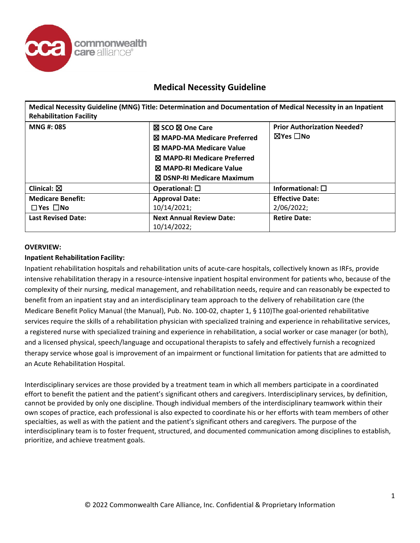

**Medical Necessity Guideline (MNG) Title: Determination and Documentation of Medical Necessity in an Inpatient Rehabilitation Facility**

| MNG #: 085                                             | <b>⊠ SCO ⊠ One Care</b><br><b>X MAPD-MA Medicare Preferred</b><br>⊠ MAPD-MA Medicare Value<br><b>X MAPD-RI Medicare Preferred</b><br>⊠ MAPD-RI Medicare Value<br>⊠ DSNP-RI Medicare Maximum | <b>Prior Authorization Needed?</b><br>⊠Yes □No |
|--------------------------------------------------------|---------------------------------------------------------------------------------------------------------------------------------------------------------------------------------------------|------------------------------------------------|
| Clinical: $\boxtimes$                                  | Operational: $\square$                                                                                                                                                                      | Informational: $\square$                       |
| <b>Medicare Benefit:</b><br>$\square$ Yes $\square$ No | <b>Approval Date:</b><br>10/14/2021;                                                                                                                                                        | <b>Effective Date:</b><br>2/06/2022;           |
| <b>Last Revised Date:</b>                              | <b>Next Annual Review Date:</b><br>10/14/2022;                                                                                                                                              | <b>Retire Date:</b>                            |

### **OVERVIEW:**

### **Inpatient Rehabilitation Facility:**

Inpatient rehabilitation hospitals and rehabilitation units of acute-care hospitals, collectively known as IRFs, provide intensive rehabilitation therapy in a resource-intensive inpatient hospital environment for patients who, because of the complexity of their nursing, medical management, and rehabilitation needs, require and can reasonably be expected to benefit from an inpatient stay and an interdisciplinary team approach to the delivery of rehabilitation care (the Medicare Benefit Policy Manual (the Manual), Pub. No. 100-02, chapter 1, § 110)The goal-oriented rehabilitative services require the skills of a rehabilitation physician with specialized training and experience in rehabilitative services, a registered nurse with specialized training and experience in rehabilitation, a social worker or case manager (or both), and a licensed physical, speech/language and occupational therapists to safely and effectively furnish a recognized therapy service whose goal is improvement of an impairment or functional limitation for patients that are admitted to an Acute Rehabilitation Hospital.

Interdisciplinary services are those provided by a treatment team in which all members participate in a coordinated effort to benefit the patient and the patient's significant others and caregivers. Interdisciplinary services, by definition, cannot be provided by only one discipline. Though individual members of the interdisciplinary teamwork within their own scopes of practice, each professional is also expected to coordinate his or her efforts with team members of other specialties, as well as with the patient and the patient's significant others and caregivers. The purpose of the interdisciplinary team is to foster frequent, structured, and documented communication among disciplines to establish, prioritize, and achieve treatment goals.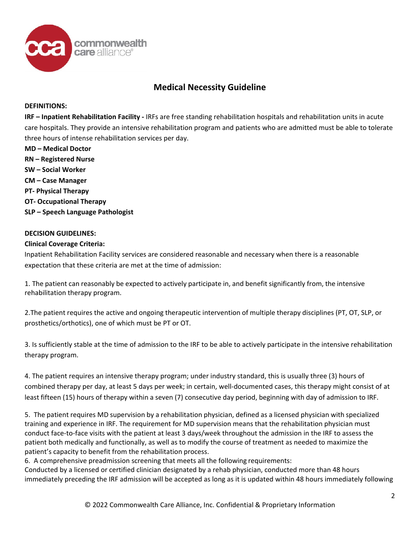

#### **DEFINITIONS:**

**IRF – Inpatient Rehabilitation Facility -** IRFs are free standing rehabilitation hospitals and rehabilitation units in acute care hospitals. They provide an intensive rehabilitation program and patients who are admitted must be able to tolerate three hours of intense rehabilitation services per day.

**MD – Medical Doctor RN – Registered Nurse SW – Social Worker CM – Case Manager PT- Physical Therapy OT- Occupational Therapy SLP – Speech Language Pathologist**

#### **DECISION GUIDELINES:**

### **Clinical Coverage Criteria:**

Inpatient Rehabilitation Facility services are considered reasonable and necessary when there is a reasonable expectation that these criteria are met at the time of admission:

1. The patient can reasonably be expected to actively participate in, and benefit significantly from, the intensive rehabilitation therapy program.

2.The patient requires the active and ongoing therapeutic intervention of multiple therapy disciplines (PT, OT, SLP, or prosthetics/orthotics), one of which must be PT or OT.

3. Is sufficiently stable at the time of admission to the IRF to be able to actively participate in the intensive rehabilitation therapy program.

4. The patient requires an intensive therapy program; under industry standard, this is usually three (3) hours of combined therapy per day, at least 5 days per week; in certain, well-documented cases, this therapy might consist of at least fifteen (15) hours of therapy within a seven (7) consecutive day period, beginning with day of admission to IRF.

5. The patient requires MD supervision by a rehabilitation physician, defined as a licensed physician with specialized training and experience in IRF. The requirement for MD supervision means that the rehabilitation physician must conduct face-to-face visits with the patient at least 3 days/week throughout the admission in the IRF to assess the patient both medically and functionally, as well as to modify the course of treatment as needed to maximize the patient's capacity to benefit from the rehabilitation process.

6. A comprehensive preadmission screening that meets all the following requirements:

Conducted by a licensed or certified clinician designated by a rehab physician, conducted more than 48 hours immediately preceding the IRF admission will be accepted as long as it is updated within 48 hours immediately following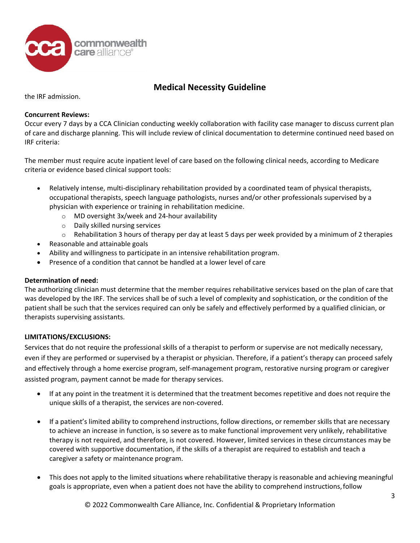

the IRF admission.

### **Concurrent Reviews:**

Occur every 7 days by a CCA Clinician conducting weekly collaboration with facility case manager to discuss current plan of care and discharge planning. This will include review of clinical documentation to determine continued need based on IRF criteria:

The member must require acute inpatient level of care based on the following clinical needs, according to Medicare criteria or evidence based clinical support tools:

- Relatively intense, multi-disciplinary rehabilitation provided by a coordinated team of physical therapists, occupational therapists, speech language pathologists, nurses and/or other professionals supervised by a physician with experience or training in rehabilitation medicine.
	- o MD oversight 3x/week and 24-hour availability
	- o Daily skilled nursing services
	- $\circ$  Rehabilitation 3 hours of therapy per day at least 5 days per week provided by a minimum of 2 therapies
- Reasonable and attainable goals
- Ability and willingness to participate in an intensive rehabilitation program.
- Presence of a condition that cannot be handled at a lower level of care

### **Determination of need:**

The authorizing clinician must determine that the member requires rehabilitative services based on the plan of care that was developed by the IRF. The services shall be of such a level of complexity and sophistication, or the condition of the patient shall be such that the services required can only be safely and effectively performed by a qualified clinician, or therapists supervising assistants.

### **LIMITATIONS/EXCLUSIONS:**

Services that do not require the professional skills of a therapist to perform or supervise are not medically necessary, even if they are performed or supervised by a therapist or physician. Therefore, if a patient's therapy can proceed safely and effectively through a home exercise program, self-management program, restorative nursing program or caregiver assisted program, payment cannot be made for therapy services.

- If at any point in the treatment it is determined that the treatment becomes repetitive and does not require the unique skills of a therapist, the services are non-covered.
- If a patient's limited ability to comprehend instructions, follow directions, or remember skills that are necessary to achieve an increase in function, is so severe as to make functional improvement very unlikely, rehabilitative therapy is not required, and therefore, is not covered. However, limited services in these circumstances may be covered with supportive documentation, if the skills of a therapist are required to establish and teach a caregiver a safety or maintenance program.
- This does not apply to the limited situations where rehabilitative therapy is reasonable and achieving meaningful goals is appropriate, even when a patient does not have the ability to comprehend instructions,follow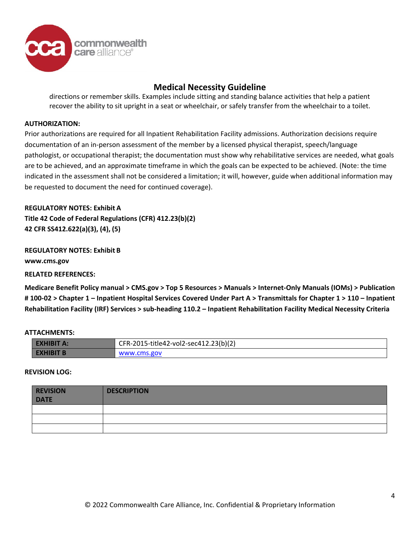

directions or remember skills. Examples include sitting and standing balance activities that help a patient recover the ability to sit upright in a seat or wheelchair, or safely transfer from the wheelchair to a toilet.

#### **AUTHORIZATION:**

Prior authorizations are required for all Inpatient Rehabilitation Facility admissions. Authorization decisions require documentation of an in-person assessment of the member by a licensed physical therapist, speech/language pathologist, or occupational therapist; the documentation must show why rehabilitative services are needed, what goals are to be achieved, and an approximate timeframe in which the goals can be expected to be achieved. (Note: the time indicated in the assessment shall not be considered a limitation; it will, however, guide when additional information may be requested to document the need for continued coverage).

**REGULATORY NOTES: Exhibit A Title 42 Code of Federal Regulations (CFR) 412.23(b)(2) 42 CFR SS412.622(a)(3), (4), (5)**

**REGULATORY NOTES: Exhibit B [www.cms.gov](http://www.cms.gov/)**

**RELATED REFERENCES:**

**Medicare Benefit Policy manual > CMS.gov > Top 5 Resources > Manuals > Internet-Only Manuals (IOMs) > Publication # 100-02 > Chapter 1 – Inpatient Hospital Services Covered Under Part A > Transmittals for Chapter 1 > 110 – Inpatient Rehabilitation Facility (IRF) Services > sub-heading 110.2 – Inpatient Rehabilitation Facility Medical Necessity Criteria**

#### **ATTACHMENTS:**

| <b>EXHIBIT AS</b> | CFR-2015-title42-vol2-sec412.23(b)(2) |  |
|-------------------|---------------------------------------|--|
| <b>EXHIBIT B.</b> | www.cms.gov                           |  |

#### **REVISION LOG:**

| <b>REVISION</b><br><b>DATE</b> | <b>DESCRIPTION</b> |
|--------------------------------|--------------------|
|                                |                    |
|                                |                    |
|                                |                    |